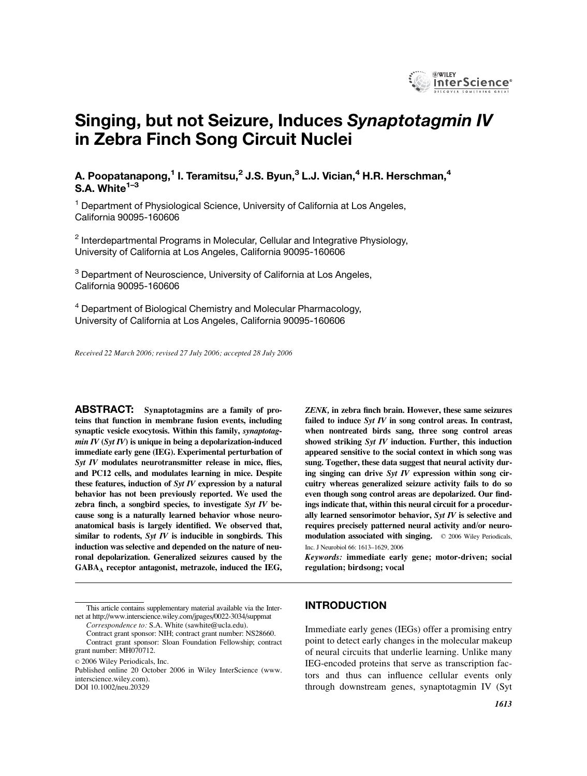

# Singing, but not Seizure, Induces Synaptotagmin IV in Zebra Finch Song Circuit Nuclei

A. Poopatanapong,<sup>1</sup> I. Teramitsu,<sup>2</sup> J.S. Byun,<sup>3</sup> L.J. Vician,<sup>4</sup> H.R. Herschman,<sup>4</sup> S.A. White $1-3$ 

<sup>1</sup> Department of Physiological Science, University of California at Los Angeles, California 90095-160606

<sup>2</sup> Interdepartmental Programs in Molecular, Cellular and Integrative Physiology, University of California at Los Angeles, California 90095-160606

<sup>3</sup> Department of Neuroscience, University of California at Los Angeles, California 90095-160606

<sup>4</sup> Department of Biological Chemistry and Molecular Pharmacology, University of California at Los Angeles, California 90095-160606

Received 22 March 2006; revised 27 July 2006; accepted 28 July 2006

ABSTRACT: Synaptotagmins are a family of proteins that function in membrane fusion events, including synaptic vesicle exocytosis. Within this family, synaptotag $min IV$  (Syt IV) is unique in being a depolarization-induced immediate early gene (IEG). Experimental perturbation of Syt IV modulates neurotransmitter release in mice, flies, and PC12 cells, and modulates learning in mice. Despite these features, induction of  $Syt$  *IV* expression by a natural behavior has not been previously reported. We used the zebra finch, a songbird species, to investigate  $Syt$   $IV$  because song is a naturally learned behavior whose neuroanatomical basis is largely identified. We observed that, similar to rodents,  $Syt$  IV is inducible in songbirds. This induction was selective and depended on the nature of neuronal depolarization. Generalized seizures caused by the GABAA receptor antagonist, metrazole, induced the IEG,

This article contains supplementary material available via the Internet at http://www.interscience.wiley.com/jpages/0022-3034/suppmat

Correspondence to: S.A. White (sawhite@ucla.edu). Contract grant sponsor: NIH; contract grant number: NS28660. Contract grant sponsor: Sloan Foundation Fellowship; contract

grant number: MH070712.

DOI 10.1002/neu.20329

ZENK, in zebra finch brain. However, these same seizures failed to induce  $Syt IV$  in song control areas. In contrast, when nontreated birds sang, three song control areas showed striking  $Syt$  IV induction. Further, this induction appeared sensitive to the social context in which song was sung. Together, these data suggest that neural activity during singing can drive  $Syt$  IV expression within song circuitry whereas generalized seizure activity fails to do so even though song control areas are depolarized. Our findings indicate that, within this neural circuit for a procedurally learned sensorimotor behavior,  $Syt IV$  is selective and requires precisely patterned neural activity and/or neuromodulation associated with singing.  $\oslash$  2006 Wiley Periodicals, Inc. J Neurobiol 66: 1613–1629, 2006

Keywords: immediate early gene; motor-driven; social regulation; birdsong; vocal

### INTRODUCTION

Immediate early genes (IEGs) offer a promising entry point to detect early changes in the molecular makeup of neural circuits that underlie learning. Unlike many IEG-encoded proteins that serve as transcription factors and thus can influence cellular events only through downstream genes, synaptotagmin IV (Syt

 $@$  2006 Wiley Periodicals, Inc.

Published online 20 October 2006 in Wiley InterScience (www. interscience.wiley.com).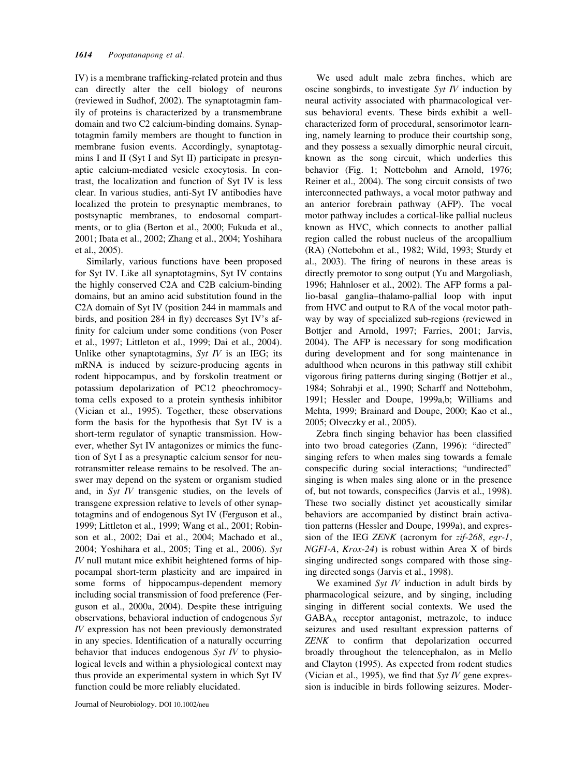IV) is a membrane trafficking-related protein and thus can directly alter the cell biology of neurons (reviewed in Sudhof, 2002). The synaptotagmin family of proteins is characterized by a transmembrane domain and two C2 calcium-binding domains. Synaptotagmin family members are thought to function in membrane fusion events. Accordingly, synaptotagmins I and II (Syt I and Syt II) participate in presynaptic calcium-mediated vesicle exocytosis. In contrast, the localization and function of Syt IV is less clear. In various studies, anti-Syt IV antibodies have localized the protein to presynaptic membranes, to postsynaptic membranes, to endosomal compartments, or to glia (Berton et al., 2000; Fukuda et al., 2001; Ibata et al., 2002; Zhang et al., 2004; Yoshihara et al., 2005).

Similarly, various functions have been proposed for Syt IV. Like all synaptotagmins, Syt IV contains the highly conserved C2A and C2B calcium-binding domains, but an amino acid substitution found in the C2A domain of Syt IV (position 244 in mammals and birds, and position 284 in fly) decreases Syt IV's affinity for calcium under some conditions (von Poser et al., 1997; Littleton et al., 1999; Dai et al., 2004). Unlike other synaptotagmins,  $Syt$  *IV* is an IEG; its mRNA is induced by seizure-producing agents in rodent hippocampus, and by forskolin treatment or potassium depolarization of PC12 pheochromocytoma cells exposed to a protein synthesis inhibitor (Vician et al., 1995). Together, these observations form the basis for the hypothesis that Syt IV is a short-term regulator of synaptic transmission. However, whether Syt IV antagonizes or mimics the function of Syt I as a presynaptic calcium sensor for neurotransmitter release remains to be resolved. The answer may depend on the system or organism studied and, in Syt IV transgenic studies, on the levels of transgene expression relative to levels of other synaptotagmins and of endogenous Syt IV (Ferguson et al., 1999; Littleton et al., 1999; Wang et al., 2001; Robinson et al., 2002; Dai et al., 2004; Machado et al., 2004; Yoshihara et al., 2005; Ting et al., 2006). Syt  $IV$  null mutant mice exhibit heightened forms of hippocampal short-term plasticity and are impaired in some forms of hippocampus-dependent memory including social transmission of food preference (Ferguson et al., 2000a, 2004). Despite these intriguing observations, behavioral induction of endogenous Syt  $IV$  expression has not been previously demonstrated in any species. Identification of a naturally occurring behavior that induces endogenous  $Syt$  *IV* to physiological levels and within a physiological context may thus provide an experimental system in which Syt IV function could be more reliably elucidated.

neural activity associated with pharmacological versus behavioral events. These birds exhibit a wellcharacterized form of procedural, sensorimotor learning, namely learning to produce their courtship song, and they possess a sexually dimorphic neural circuit, known as the song circuit, which underlies this behavior (Fig. 1; Nottebohm and Arnold, 1976; Reiner et al., 2004). The song circuit consists of two interconnected pathways, a vocal motor pathway and an anterior forebrain pathway (AFP). The vocal motor pathway includes a cortical-like pallial nucleus known as HVC, which connects to another pallial region called the robust nucleus of the arcopallium (RA) (Nottebohm et al., 1982; Wild, 1993; Sturdy et al., 2003). The firing of neurons in these areas is directly premotor to song output (Yu and Margoliash, 1996; Hahnloser et al., 2002). The AFP forms a pallio-basal ganglia–thalamo-pallial loop with input from HVC and output to RA of the vocal motor pathway by way of specialized sub-regions (reviewed in Bottjer and Arnold, 1997; Farries, 2001; Jarvis, 2004). The AFP is necessary for song modification during development and for song maintenance in adulthood when neurons in this pathway still exhibit vigorous firing patterns during singing (Bottjer et al., 1984; Sohrabji et al., 1990; Scharff and Nottebohm, 1991; Hessler and Doupe, 1999a,b; Williams and Mehta, 1999; Brainard and Doupe, 2000; Kao et al., 2005; Olveczky et al., 2005).

We used adult male zebra finches, which are oscine songbirds, to investigate  $Syt$  *IV* induction by

Zebra finch singing behavior has been classified into two broad categories (Zann, 1996): "directed" singing refers to when males sing towards a female conspecific during social interactions; "undirected" singing is when males sing alone or in the presence of, but not towards, conspecifics (Jarvis et al., 1998). These two socially distinct yet acoustically similar behaviors are accompanied by distinct brain activation patterns (Hessler and Doupe, 1999a), and expression of the IEG ZENK (acronym for  $z$ *if-268*, *egr-1*, NGFI-A, Krox-24) is robust within Area X of birds singing undirected songs compared with those singing directed songs (Jarvis et al., 1998).

We examined  $Syt$  *IV* induction in adult birds by pharmacological seizure, and by singing, including singing in different social contexts. We used the  $GABA_A$  receptor antagonist, metrazole, to induce seizures and used resultant expression patterns of ZENK to confirm that depolarization occurred broadly throughout the telencephalon, as in Mello and Clayton (1995). As expected from rodent studies (Vician et al., 1995), we find that  $Syt$  *IV* gene expression is inducible in birds following seizures. Moder-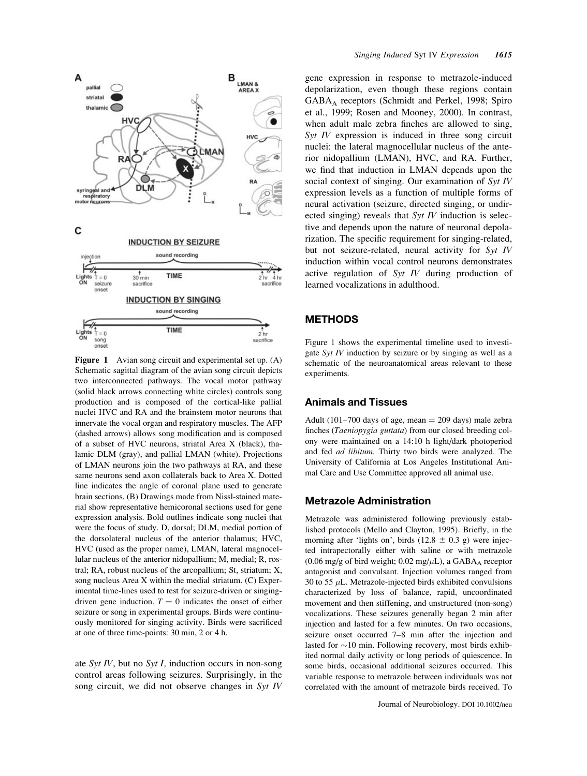

Figure 1 Avian song circuit and experimental set up. (A) Schematic sagittal diagram of the avian song circuit depicts two interconnected pathways. The vocal motor pathway (solid black arrows connecting white circles) controls song production and is composed of the cortical-like pallial nuclei HVC and RA and the brainstem motor neurons that innervate the vocal organ and respiratory muscles. The AFP (dashed arrows) allows song modification and is composed of a subset of HVC neurons, striatal Area X (black), thalamic DLM (gray), and pallial LMAN (white). Projections of LMAN neurons join the two pathways at RA, and these same neurons send axon collaterals back to Area X. Dotted line indicates the angle of coronal plane used to generate brain sections. (B) Drawings made from Nissl-stained material show representative hemicoronal sections used for gene expression analysis. Bold outlines indicate song nuclei that were the focus of study. D, dorsal; DLM, medial portion of the dorsolateral nucleus of the anterior thalamus; HVC, HVC (used as the proper name), LMAN, lateral magnocellular nucleus of the anterior nidopallium; M, medial; R, rostral; RA, robust nucleus of the arcopallium; St, striatum; X, song nucleus Area X within the medial striatum. (C) Experimental time-lines used to test for seizure-driven or singingdriven gene induction.  $T = 0$  indicates the onset of either seizure or song in experimental groups. Birds were continuously monitored for singing activity. Birds were sacrificed at one of three time-points: 30 min, 2 or 4 h.

ate Syt IV, but no Syt I, induction occurs in non-song control areas following seizures. Surprisingly, in the song circuit, we did not observe changes in Syt IV

gene expression in response to metrazole-induced depolarization, even though these regions contain GABAA receptors (Schmidt and Perkel, 1998; Spiro et al., 1999; Rosen and Mooney, 2000). In contrast, when adult male zebra finches are allowed to sing,  $Syt$  *IV* expression is induced in three song circuit nuclei: the lateral magnocellular nucleus of the anterior nidopallium (LMAN), HVC, and RA. Further, we find that induction in LMAN depends upon the social context of singing. Our examination of  $Syt$  IV expression levels as a function of multiple forms of neural activation (seizure, directed singing, or undirected singing) reveals that  $Syt$  *IV* induction is selective and depends upon the nature of neuronal depolarization. The specific requirement for singing-related, but not seizure-related, neural activity for Syt IV induction within vocal control neurons demonstrates active regulation of  $Syt$  IV during production of learned vocalizations in adulthood.

### METHODS

Figure 1 shows the experimental timeline used to investigate  $Syt$  *IV* induction by seizure or by singing as well as a schematic of the neuroanatomical areas relevant to these experiments.

### Animals and Tissues

Adult (101–700 days of age, mean  $=$  209 days) male zebra finches (Taeniopygia guttata) from our closed breeding colony were maintained on a 14:10 h light/dark photoperiod and fed ad libitum. Thirty two birds were analyzed. The University of California at Los Angeles Institutional Animal Care and Use Committee approved all animal use.

#### Metrazole Administration

Metrazole was administered following previously established protocols (Mello and Clayton, 1995). Briefly, in the morning after 'lights on', birds (12.8  $\pm$  0.3 g) were injected intrapectorally either with saline or with metrazole  $(0.06 \text{ mg/g of bird weight}; 0.02 \text{ mg}/\mu\text{L})$ , a GABA<sub>A</sub> receptor antagonist and convulsant. Injection volumes ranged from 30 to 55  $\mu$ L. Metrazole-injected birds exhibited convulsions characterized by loss of balance, rapid, uncoordinated movement and then stiffening, and unstructured (non-song) vocalizations. These seizures generally began 2 min after injection and lasted for a few minutes. On two occasions, seizure onset occurred 7–8 min after the injection and lasted for  $\sim$ 10 min. Following recovery, most birds exhibited normal daily activity or long periods of quiescence. In some birds, occasional additional seizures occurred. This variable response to metrazole between individuals was not correlated with the amount of metrazole birds received. To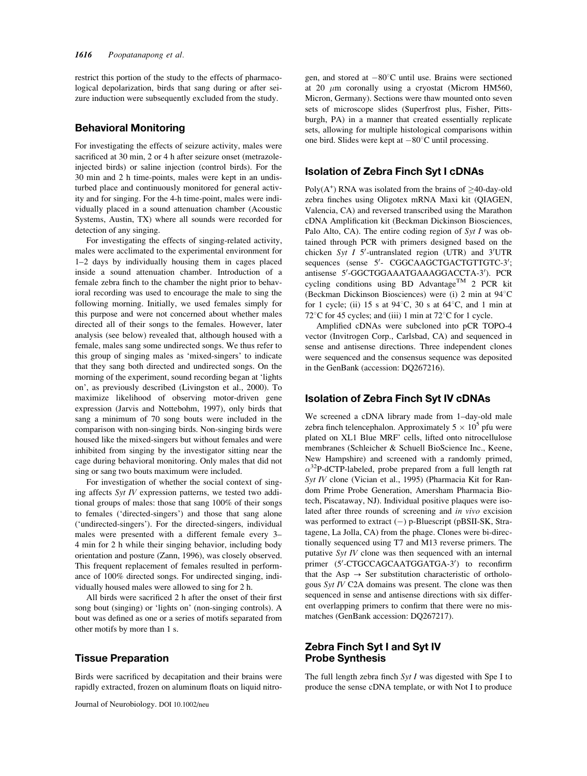restrict this portion of the study to the effects of pharmacological depolarization, birds that sang during or after seizure induction were subsequently excluded from the study.

#### Behavioral Monitoring

For investigating the effects of seizure activity, males were sacrificed at 30 min, 2 or 4 h after seizure onset (metrazoleinjected birds) or saline injection (control birds). For the 30 min and 2 h time-points, males were kept in an undisturbed place and continuously monitored for general activity and for singing. For the 4-h time-point, males were individually placed in a sound attenuation chamber (Acoustic Systems, Austin, TX) where all sounds were recorded for detection of any singing.

For investigating the effects of singing-related activity, males were acclimated to the experimental environment for 1–2 days by individually housing them in cages placed inside a sound attenuation chamber. Introduction of a female zebra finch to the chamber the night prior to behavioral recording was used to encourage the male to sing the following morning. Initially, we used females simply for this purpose and were not concerned about whether males directed all of their songs to the females. However, later analysis (see below) revealed that, although housed with a female, males sang some undirected songs. We thus refer to this group of singing males as 'mixed-singers' to indicate that they sang both directed and undirected songs. On the morning of the experiment, sound recording began at 'lights on', as previously described (Livingston et al., 2000). To maximize likelihood of observing motor-driven gene expression (Jarvis and Nottebohm, 1997), only birds that sang a minimum of 70 song bouts were included in the comparison with non-singing birds. Non-singing birds were housed like the mixed-singers but without females and were inhibited from singing by the investigator sitting near the cage during behavioral monitoring. Only males that did not sing or sang two bouts maximum were included.

For investigation of whether the social context of singing affects Syt IV expression patterns, we tested two additional groups of males: those that sang 100% of their songs to females ('directed-singers') and those that sang alone ('undirected-singers'). For the directed-singers, individual males were presented with a different female every 3– 4 min for 2 h while their singing behavior, including body orientation and posture (Zann, 1996), was closely observed. This frequent replacement of females resulted in performance of 100% directed songs. For undirected singing, individually housed males were allowed to sing for 2 h.

All birds were sacrificed 2 h after the onset of their first song bout (singing) or 'lights on' (non-singing controls). A bout was defined as one or a series of motifs separated from other motifs by more than 1 s.

### Tissue Preparation

Birds were sacrificed by decapitation and their brains were rapidly extracted, frozen on aluminum floats on liquid nitro-

Journal of Neurobiology. DOI 10.1002/neu

gen, and stored at  $-80^{\circ}$ C until use. Brains were sectioned at 20  $\mu$ m coronally using a cryostat (Microm HM560, Micron, Germany). Sections were thaw mounted onto seven sets of microscope slides (Superfrost plus, Fisher, Pittsburgh, PA) in a manner that created essentially replicate sets, allowing for multiple histological comparisons within one bird. Slides were kept at  $-80^{\circ}$ C until processing.

#### Isolation of Zebra Finch Syt I cDNAs

Poly( $A^+$ ) RNA was isolated from the brains of  $\geq$ 40-day-old zebra finches using Oligotex mRNA Maxi kit (QIAGEN, Valencia, CA) and reversed transcribed using the Marathon cDNA Amplification kit (Beckman Dickinson Biosciences, Palo Alto, CA). The entire coding region of  $Syt I$  was obtained through PCR with primers designed based on the chicken Syt  $I$  5'-untranslated region (UTR) and 3'UTR sequences (sense 5'- CGGCAAGCTGACTGTTGTC-3'; antisense 5'-GGCTGGAAATGAAAGGACCTA-3'). PCR cycling conditions using BD Advantage<sup>TM</sup> 2 PCR kit (Beckman Dickinson Biosciences) were (i) 2 min at  $94^{\circ}$ C for 1 cycle; (ii) 15 s at  $94^{\circ}$ C, 30 s at  $64^{\circ}$ C, and 1 min at  $72^{\circ}$ C for 45 cycles; and (iii) 1 min at  $72^{\circ}$ C for 1 cycle.

Amplified cDNAs were subcloned into pCR TOPO-4 vector (Invitrogen Corp., Carlsbad, CA) and sequenced in sense and antisense directions. Three independent clones were sequenced and the consensus sequence was deposited in the GenBank (accession: DQ267216).

### Isolation of Zebra Finch Syt IV cDNAs

We screened a cDNA library made from 1–day-old male zebra finch telencephalon. Approximately  $5 \times 10^5$  pfu were plated on XL1 Blue MRF' cells, lifted onto nitrocellulose membranes (Schleicher & Schuell BioScience Inc., Keene, New Hampshire) and screened with a randomly primed,  $\alpha^{32}$ P-dCTP-labeled, probe prepared from a full length rat Syt IV clone (Vician et al., 1995) (Pharmacia Kit for Random Prime Probe Generation, Amersham Pharmacia Biotech, Piscataway, NJ). Individual positive plaques were isolated after three rounds of screening and in vivo excision was performed to extract (-) p-Bluescript (pBSII-SK, Stratagene, La Jolla, CA) from the phage. Clones were bi-directionally sequenced using T7 and M13 reverse primers. The putative  $Syt$  *IV* clone was then sequenced with an internal primer (5'-CTGCCAGCAATGGATGA-3') to reconfirm that the Asp  $\rightarrow$  Ser substitution characteristic of orthologous Syt IV C2A domains was present. The clone was then sequenced in sense and antisense directions with six different overlapping primers to confirm that there were no mismatches (GenBank accession: DQ267217).

### Zebra Finch Syt I and Syt IV Probe Synthesis

The full length zebra finch  $Syt I$  was digested with Spe I to produce the sense cDNA template, or with Not I to produce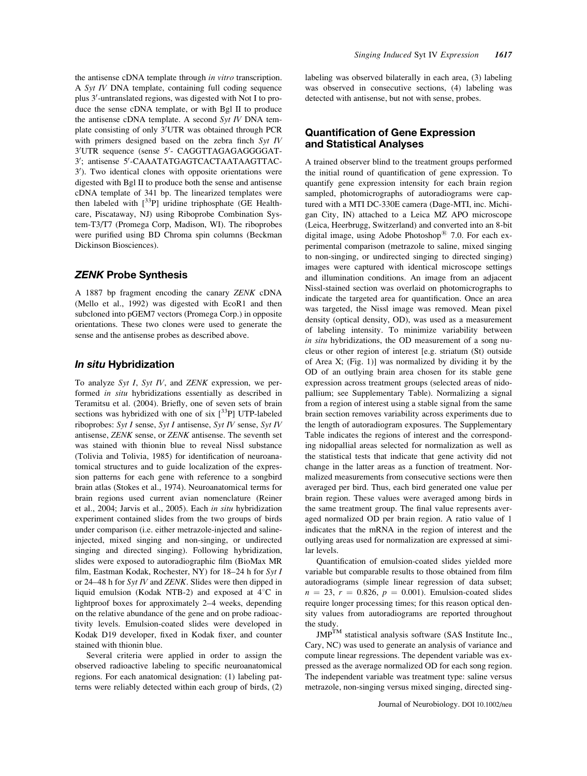the antisense cDNA template through in vitro transcription. A Syt IV DNA template, containing full coding sequence plus 3'-untranslated regions, was digested with Not I to produce the sense cDNA template, or with Bgl II to produce the antisense cDNA template. A second Syt IV DNA template consisting of only 3'UTR was obtained through PCR with primers designed based on the zebra finch Syt IV 3'UTR sequence (sense 5'- CAGGTTAGAGAGGGGAT-3'; antisense 5'-CAAATATGAGTCACTAATAAGTTAC-3<sup>'</sup>). Two identical clones with opposite orientations were digested with Bgl II to produce both the sense and antisense cDNA template of 341 bp. The linearized templates were then labeled with  $\lceil 33P \rceil$  uridine triphosphate (GE Healthcare, Piscataway, NJ) using Riboprobe Combination System-T3/T7 (Promega Corp, Madison, WI). The riboprobes were purified using BD Chroma spin columns (Beckman Dickinson Biosciences).

### **ZENK Probe Synthesis**

A 1887 bp fragment encoding the canary ZENK cDNA (Mello et al., 1992) was digested with EcoR1 and then subcloned into pGEM7 vectors (Promega Corp.) in opposite orientations. These two clones were used to generate the sense and the antisense probes as described above.

#### In situ Hybridization

To analyze Syt I, Syt IV, and ZENK expression, we performed in situ hybridizations essentially as described in Teramitsu et al. (2004). Briefly, one of seven sets of brain sections was hybridized with one of six  $[^{33}P]$  UTP-labeled riboprobes:  $SytI$  sense,  $SytI$  antisense,  $SytIV$  sense,  $SytIV$ antisense, ZENK sense, or ZENK antisense. The seventh set was stained with thionin blue to reveal Nissl substance (Tolivia and Tolivia, 1985) for identification of neuroanatomical structures and to guide localization of the expression patterns for each gene with reference to a songbird brain atlas (Stokes et al., 1974). Neuroanatomical terms for brain regions used current avian nomenclature (Reiner et al., 2004; Jarvis et al., 2005). Each in situ hybridization experiment contained slides from the two groups of birds under comparison (i.e. either metrazole-injected and salineinjected, mixed singing and non-singing, or undirected singing and directed singing). Following hybridization, slides were exposed to autoradiographic film (BioMax MR film, Eastman Kodak, Rochester, NY) for 18–24 h for Syt I or 24–48 h for Syt IV and ZENK. Slides were then dipped in liquid emulsion (Kodak NTB-2) and exposed at  $4^{\circ}$ C in lightproof boxes for approximately 2–4 weeks, depending on the relative abundance of the gene and on probe radioactivity levels. Emulsion-coated slides were developed in Kodak D19 developer, fixed in Kodak fixer, and counter stained with thionin blue.

Several criteria were applied in order to assign the observed radioactive labeling to specific neuroanatomical regions. For each anatomical designation: (1) labeling patterns were reliably detected within each group of birds, (2) labeling was observed bilaterally in each area, (3) labeling was observed in consecutive sections, (4) labeling was detected with antisense, but not with sense, probes.

## Quantification of Gene Expression and Statistical Analyses

A trained observer blind to the treatment groups performed the initial round of quantification of gene expression. To quantify gene expression intensity for each brain region sampled, photomicrographs of autoradiograms were captured with a MTI DC-330E camera (Dage-MTI, inc. Michigan City, IN) attached to a Leica MZ APO microscope (Leica, Heerbrugg, Switzerland) and converted into an 8-bit digital image, using Adobe Photoshop<sup>®</sup> 7.0. For each experimental comparison (metrazole to saline, mixed singing to non-singing, or undirected singing to directed singing) images were captured with identical microscope settings and illumination conditions. An image from an adjacent Nissl-stained section was overlaid on photomicrographs to indicate the targeted area for quantification. Once an area was targeted, the Nissl image was removed. Mean pixel density (optical density, OD), was used as a measurement of labeling intensity. To minimize variability between in situ hybridizations, the OD measurement of a song nucleus or other region of interest [e.g. striatum (St) outside of Area X; (Fig. 1)] was normalized by dividing it by the OD of an outlying brain area chosen for its stable gene expression across treatment groups (selected areas of nidopallium; see Supplementary Table). Normalizing a signal from a region of interest using a stable signal from the same brain section removes variability across experiments due to the length of autoradiogram exposures. The Supplementary Table indicates the regions of interest and the corresponding nidopallial areas selected for normalization as well as the statistical tests that indicate that gene activity did not change in the latter areas as a function of treatment. Normalized measurements from consecutive sections were then averaged per bird. Thus, each bird generated one value per brain region. These values were averaged among birds in the same treatment group. The final value represents averaged normalized OD per brain region. A ratio value of 1 indicates that the mRNA in the region of interest and the outlying areas used for normalization are expressed at similar levels.

Quantification of emulsion-coated slides yielded more variable but comparable results to those obtained from film autoradiograms (simple linear regression of data subset;  $n = 23$ ,  $r = 0.826$ ,  $p = 0.001$ ). Emulsion-coated slides require longer processing times; for this reason optical density values from autoradiograms are reported throughout the study.

JMPTM statistical analysis software (SAS Institute Inc., Cary, NC) was used to generate an analysis of variance and compute linear regressions. The dependent variable was expressed as the average normalized OD for each song region. The independent variable was treatment type: saline versus metrazole, non-singing versus mixed singing, directed sing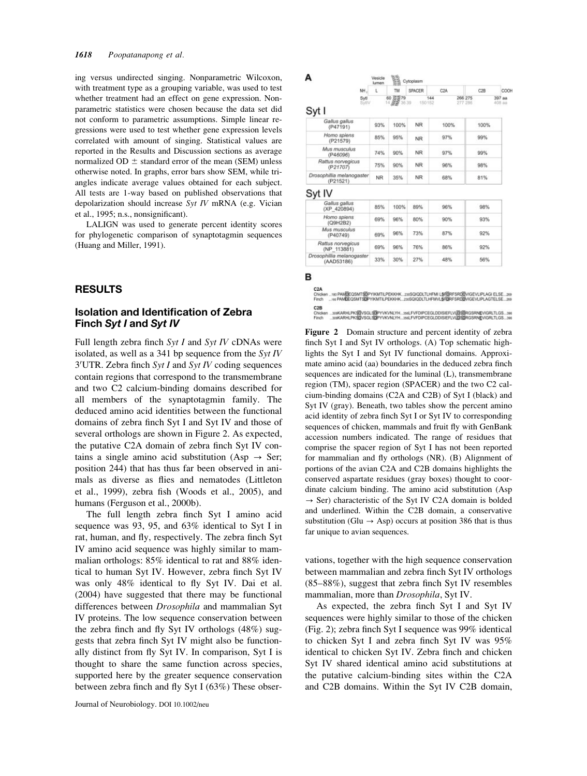ing versus undirected singing. Nonparametric Wilcoxon, with treatment type as a grouping variable, was used to test whether treatment had an effect on gene expression. Nonparametric statistics were chosen because the data set did not conform to parametric assumptions. Simple linear regressions were used to test whether gene expression levels correlated with amount of singing. Statistical values are reported in the Results and Discussion sections as average normalized OD  $\pm$  standard error of the mean (SEM) unless otherwise noted. In graphs, error bars show SEM, while triangles indicate average values obtained for each subject. All tests are 1-way based on published observations that depolarization should increase Syt IV mRNA (e.g. Vician et al., 1995; n.s., nonsignificant).

LALIGN was used to generate percent identity scores for phylogenetic comparison of synaptotagmin sequences (Huang and Miller, 1991).

#### RESULTS

### Isolation and Identification of Zebra Finch Syt I and Syt IV

Full length zebra finch  $Syt I$  and  $Syt IV$  cDNAs were isolated, as well as a 341 bp sequence from the  $Syt IV$  $3'$ UTR. Zebra finch Syt I and Syt IV coding sequences contain regions that correspond to the transmembrane and two C2 calcium-binding domains described for all members of the synaptotagmin family. The deduced amino acid identities between the functional domains of zebra finch Syt I and Syt IV and those of several orthologs are shown in Figure 2. As expected, the putative C2A domain of zebra finch Syt IV contains a single amino acid substitution (Asp  $\rightarrow$  Ser; position 244) that has thus far been observed in animals as diverse as flies and nematodes (Littleton et al., 1999), zebra fish (Woods et al., 2005), and humans (Ferguson et al., 2000b).

The full length zebra finch Syt I amino acid sequence was 93, 95, and 63% identical to Syt I in rat, human, and fly, respectively. The zebra finch Syt IV amino acid sequence was highly similar to mammalian orthologs: 85% identical to rat and 88% identical to human Syt IV. However, zebra finch Syt IV was only 48% identical to fly Syt IV. Dai et al. (2004) have suggested that there may be functional differences between Drosophila and mammalian Syt IV proteins. The low sequence conservation between the zebra finch and fly Syt IV orthologs (48%) suggests that zebra finch Syt IV might also be functionally distinct from fly Syt IV. In comparison, Syt I is thought to share the same function across species, supported here by the greater sequence conservation between zebra finch and fly Syt I (63%) These obser-

|                 | Veside<br>lumen |                  | Cytoplasm                  |                  |                      |
|-----------------|-----------------|------------------|----------------------------|------------------|----------------------|
| NH.             |                 | TM               | SPACER                     | C <sub>2</sub> A |                      |
| Sytl<br>PG LEED |                 | 579<br>$60 \geq$ | 144<br>FLIR PLPL<br>スクウェアウ |                  | 2662<br>PUMPER, INC. |

cook  $397$  aa

A

| Gallus gallus<br>(P47191)             | 93%       | 100% | <b>NR</b> | 100% | 100% |
|---------------------------------------|-----------|------|-----------|------|------|
| Homo spiens<br>(P21579)               | 85%       | 95%  | <b>NR</b> | 97%  | 99%  |
| Mus musculus<br>(P46096)              | 74%       | 90%  | <b>NR</b> | 97%  | 99%  |
| Rattus norvegicus<br>(P21707)         | 75%       | 90%  | <b>NR</b> | 96%  | 98%  |
| Drosophillia melanogaster<br>(P21521) | <b>NR</b> | 35%  | <b>NR</b> | 68%  | 81%  |

Syt IV

| 98%<br>96% |                                 |
|------------|---------------------------------|
| 93%<br>90% |                                 |
| 92%<br>87% |                                 |
| 92%<br>86% |                                 |
| 56%<br>48% |                                 |
|            | 89%<br>80%<br>73%<br>76%<br>27% |

B

#### C<sub>2</sub>A 180 PAM<mark>D</mark>EQSMT\$DPYIKMTILPEKKHK...230SQIQDLTLHFMI L\$FDRFSRDDVIGEVLIPLAGI ELSE...269<br>180 PAMDEQSMT\$DPYIKMTILPEKKHK...230SQIQDLTLHFMVL\$FDRFSRDDVIGEVLIPLAGTELSE...269 Chicks<br>Finch

C2B 300KARHLPKSDVSGLSDPYVKVNLYH\_386LFVFDIPCEGLDDISIEFLVLDSDRGSRNEVIGRLTLGS..398<br>300KARHLPKSDVSGLSDPYVKVNLYH\_386LFVFDIPCEGLDDISIEFLVLDSDRGSRNEVIGRLTLGS..398 **Chicke**<br>Finch

Figure 2 Domain structure and percent identity of zebra finch Syt I and Syt IV orthologs. (A) Top schematic highlights the Syt I and Syt IV functional domains. Approximate amino acid (aa) boundaries in the deduced zebra finch sequences are indicated for the luminal (L), transmembrane region (TM), spacer region (SPACER) and the two C2 calcium-binding domains (C2A and C2B) of Syt I (black) and Syt IV (gray). Beneath, two tables show the percent amino acid identity of zebra finch Syt I or Syt IV to corresponding sequences of chicken, mammals and fruit fly with GenBank accession numbers indicated. The range of residues that comprise the spacer region of Syt I has not been reported for mammalian and fly orthologs (NR). (B) Alignment of portions of the avian C2A and C2B domains highlights the conserved aspartate residues (gray boxes) thought to coordinate calcium binding. The amino acid substitution (Asp  $\rightarrow$  Ser) characteristic of the Syt IV C2A domain is bolded and underlined. Within the C2B domain, a conservative substitution (Glu  $\rightarrow$  Asp) occurs at position 386 that is thus far unique to avian sequences.

vations, together with the high sequence conservation between mammalian and zebra finch Syt IV orthologs (85–88%), suggest that zebra finch Syt IV resembles mammalian, more than Drosophila, Syt IV.

As expected, the zebra finch Syt I and Syt IV sequences were highly similar to those of the chicken (Fig. 2); zebra finch Syt I sequence was 99% identical to chicken Syt I and zebra finch Syt IV was 95% identical to chicken Syt IV. Zebra finch and chicken Syt IV shared identical amino acid substitutions at the putative calcium-binding sites within the C2A and C2B domains. Within the Syt IV C2B domain,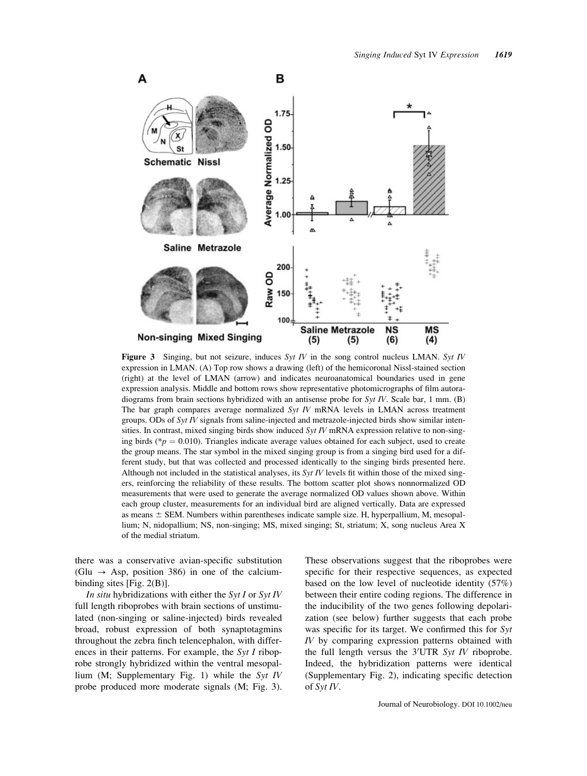

Figure 3 Singing, but not seizure, induces Syt IV in the song control nucleus LMAN. Syt IV expression in LMAN. (A) Top row shows a drawing (left) of the hemicoronal Nissl-stained section (right) at the level of LMAN (arrow) and indicates neuroanatomical boundaries used in gene expression analysis. Middle and bottom rows show representative photomicrographs of film autoradiograms from brain sections hybridized with an antisense probe for Syt IV. Scale bar, 1 mm.  $(B)$ The bar graph compares average normalized  $Syt$  IV mRNA levels in LMAN across treatment groups. ODs of Syt IV signals from saline-injected and metrazole-injected birds show similar intensities. In contrast, mixed singing birds show induced  $Syt$  *IV* mRNA expression relative to non-singing birds ( $\gamma p = 0.010$ ). Triangles indicate average values obtained for each subject, used to create the group means. The star symbol in the mixed singing group is from a singing bird used for a different study, but that was collected and processed identically to the singing birds presented here. Although not included in the statistical analyses, its Syt IV levels fit within those of the mixed singers, reinforcing the reliability of these results. The bottom scatter plot shows nonnormalized OD measurements that were used to generate the average normalized OD values shown above. Within each group cluster, measurements for an individual bird are aligned vertically. Data are expressed as means  $\pm$  SEM. Numbers within parentheses indicate sample size. H, hyperpallium, M, mesopallium; N, nidopallium; NS, non-singing; MS, mixed singing; St, striatum; X, song nucleus Area X of the medial striatum.

there was a conservative avian-specific substitution (Glu  $\rightarrow$  Asp, position 386) in one of the calciumbinding sites [Fig. 2(B)].

In situ hybridizations with either the Syt I or Syt IV full length riboprobes with brain sections of unstimulated (non-singing or saline-injected) birds revealed broad, robust expression of both synaptotagmins throughout the zebra finch telencephalon, with differences in their patterns. For example, the Syt I riboprobe strongly hybridized within the ventral mesopallium (M; Supplementary Fig. 1) while the Syt IV probe produced more moderate signals (M; Fig. 3). These observations suggest that the riboprobes were specific for their respective sequences, as expected based on the low level of nucleotide identity (57%) between their entire coding regions. The difference in the inducibility of the two genes following depolarization (see below) further suggests that each probe was specific for its target. We confirmed this for Syt  $IV$  by comparing expression patterns obtained with the full length versus the  $3'UTR$  Syt IV riboprobe. Indeed, the hybridization patterns were identical (Supplementary Fig. 2), indicating specific detection of Syt IV.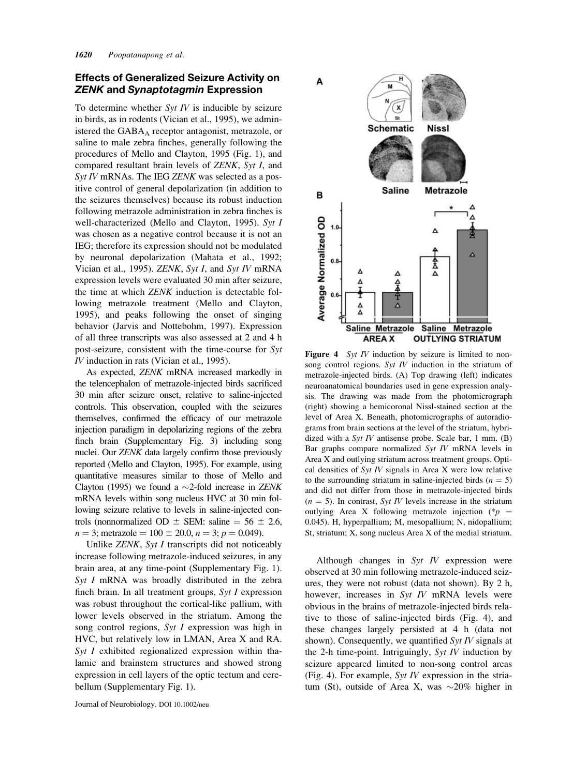### Effects of Generalized Seizure Activity on ZENK and Synaptotagmin Expression

To determine whether  $Syt$  *IV* is inducible by seizure in birds, as in rodents (Vician et al., 1995), we administered the  $GABA_A$  receptor antagonist, metrazole, or saline to male zebra finches, generally following the procedures of Mello and Clayton, 1995 (Fig. 1), and compared resultant brain levels of ZENK, Syt I, and  $Syt IV$  mRNAs. The IEG ZENK was selected as a positive control of general depolarization (in addition to the seizures themselves) because its robust induction following metrazole administration in zebra finches is well-characterized (Mello and Clayton, 1995). Syt I was chosen as a negative control because it is not an IEG; therefore its expression should not be modulated by neuronal depolarization (Mahata et al., 1992; Vician et al., 1995). *ZENK*, *Syt I*, and *Syt IV* mRNA expression levels were evaluated 30 min after seizure, the time at which ZENK induction is detectable following metrazole treatment (Mello and Clayton, 1995), and peaks following the onset of singing behavior (Jarvis and Nottebohm, 1997). Expression of all three transcripts was also assessed at 2 and 4 h post-seizure, consistent with the time-course for Syt IV induction in rats (Vician et al., 1995).

As expected, ZENK mRNA increased markedly in the telencephalon of metrazole-injected birds sacrificed 30 min after seizure onset, relative to saline-injected controls. This observation, coupled with the seizures themselves, confirmed the efficacy of our metrazole injection paradigm in depolarizing regions of the zebra finch brain (Supplementary Fig. 3) including song nuclei. Our ZENK data largely confirm those previously reported (Mello and Clayton, 1995). For example, using quantitative measures similar to those of Mello and Clayton (1995) we found a  $\sim$ 2-fold increase in *ZENK* mRNA levels within song nucleus HVC at 30 min following seizure relative to levels in saline-injected controls (nonnormalized OD  $\pm$  SEM: saline  $=$  56  $\pm$  2.6,  $n = 3$ ; metrazole = 100  $\pm$  20.0,  $n = 3$ ;  $p = 0.049$ ).

Unlike  $ZENK$ , Syt I transcripts did not noticeably increase following metrazole-induced seizures, in any brain area, at any time-point (Supplementary Fig. 1). Syt I mRNA was broadly distributed in the zebra finch brain. In all treatment groups, Syt I expression was robust throughout the cortical-like pallium, with lower levels observed in the striatum. Among the song control regions, Syt I expression was high in HVC, but relatively low in LMAN, Area X and RA. Syt I exhibited regionalized expression within thalamic and brainstem structures and showed strong expression in cell layers of the optic tectum and cerebellum (Supplementary Fig. 1).

**Nissl Schematic Saline Metrazole** B Δ Average Normalized OD  $1.0$ ₹ Δ  $0.8$ £ Δ Δ Δ **Saline Metrazole** Saline Metrazole

**AREAX** 

A

**Figure 4** Syt IV induction by seizure is limited to nonsong control regions. Syt  $IV$  induction in the striatum of metrazole-injected birds. (A) Top drawing (left) indicates neuroanatomical boundaries used in gene expression analysis. The drawing was made from the photomicrograph (right) showing a hemicoronal Nissl-stained section at the level of Area X. Beneath, photomicrographs of autoradiograms from brain sections at the level of the striatum, hybridized with a Syt IV antisense probe. Scale bar,  $1$  mm. (B) Bar graphs compare normalized  $Syt$  *IV* mRNA levels in Area X and outlying striatum across treatment groups. Optical densities of  $Syt IV$  signals in Area X were low relative to the surrounding striatum in saline-injected birds ( $n = 5$ ) and did not differ from those in metrazole-injected birds  $(n = 5)$ . In contrast, *Syt IV* levels increase in the striatum outlying Area X following metrazole injection (\*p = 0.045). H, hyperpallium; M, mesopallium; N, nidopallium; St, striatum; X, song nucleus Area X of the medial striatum.

**OUTLYING STRIATUM** 

Although changes in Syt IV expression were observed at 30 min following metrazole-induced seizures, they were not robust (data not shown). By 2 h, however, increases in  $Syt$  *IV* mRNA levels were obvious in the brains of metrazole-injected birds relative to those of saline-injected birds (Fig. 4), and these changes largely persisted at 4 h (data not shown). Consequently, we quantified  $Syt$  *IV* signals at the 2-h time-point. Intriguingly,  $Syt$  *IV* induction by seizure appeared limited to non-song control areas (Fig. 4). For example,  $Syt$  *IV* expression in the striatum (St), outside of Area X, was  $\sim$ 20% higher in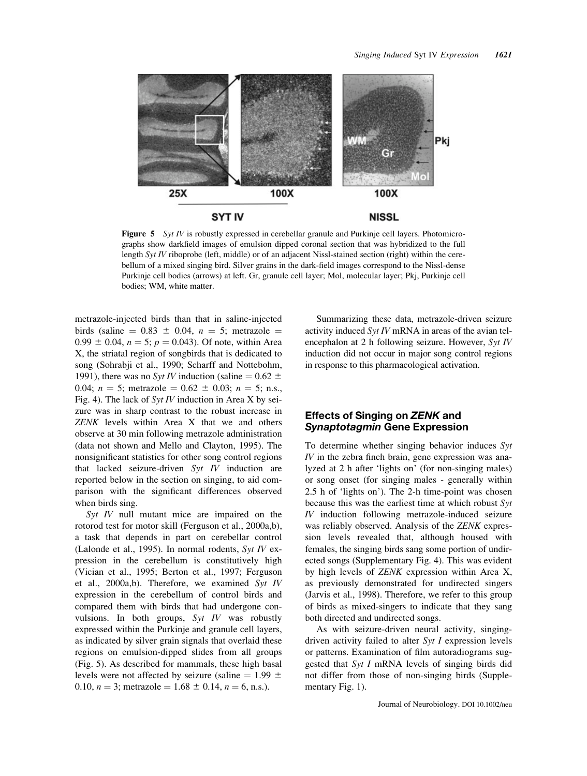

**Figure 5** Syt IV is robustly expressed in cerebellar granule and Purkinje cell layers. Photomicrographs show darkfield images of emulsion dipped coronal section that was hybridized to the full length Syt IV riboprobe (left, middle) or of an adjacent Nissl-stained section (right) within the cerebellum of a mixed singing bird. Silver grains in the dark-field images correspond to the Nissl-dense Purkinje cell bodies (arrows) at left. Gr, granule cell layer; Mol, molecular layer; Pkj, Purkinje cell bodies; WM, white matter.

metrazole-injected birds than that in saline-injected birds (saline  $= 0.83 \pm 0.04$ ,  $n = 5$ ; metrazole  $=$  $0.99 \pm 0.04$ ,  $n = 5$ ;  $p = 0.043$ ). Of note, within Area X, the striatal region of songbirds that is dedicated to song (Sohrabji et al., 1990; Scharff and Nottebohm, 1991), there was no Syt IV induction (saline  $= 0.62 \pm 0.62$ 0.04;  $n = 5$ ; metrazole = 0.62  $\pm$  0.03;  $n = 5$ ; n.s., Fig. 4). The lack of  $Syt IV$  induction in Area X by seizure was in sharp contrast to the robust increase in ZENK levels within Area X that we and others observe at 30 min following metrazole administration (data not shown and Mello and Clayton, 1995). The nonsignificant statistics for other song control regions that lacked seizure-driven  $Svt$  *IV* induction are reported below in the section on singing, to aid comparison with the significant differences observed when birds sing.

Syt IV null mutant mice are impaired on the rotorod test for motor skill (Ferguson et al., 2000a,b), a task that depends in part on cerebellar control (Lalonde et al., 1995). In normal rodents,  $Syt$  *IV* expression in the cerebellum is constitutively high (Vician et al., 1995; Berton et al., 1997; Ferguson et al., 2000a,b). Therefore, we examined  $Syt$  IV expression in the cerebellum of control birds and compared them with birds that had undergone convulsions. In both groups,  $Syt$  *IV* was robustly expressed within the Purkinje and granule cell layers, as indicated by silver grain signals that overlaid these regions on emulsion-dipped slides from all groups (Fig. 5). As described for mammals, these high basal levels were not affected by seizure (saline  $= 1.99 \pm 1.99$ 0.10,  $n = 3$ ; metrazole = 1.68  $\pm$  0.14,  $n = 6$ , n.s.).

Summarizing these data, metrazole-driven seizure activity induced  $Syt IV$  mRNA in areas of the avian telencephalon at 2 h following seizure. However, Syt IV induction did not occur in major song control regions in response to this pharmacological activation.

### Effects of Singing on ZENK and Synaptotagmin Gene Expression

To determine whether singing behavior induces  $Syt$  $IV$  in the zebra finch brain, gene expression was analyzed at 2 h after 'lights on' (for non-singing males) or song onset (for singing males - generally within 2.5 h of 'lights on'). The 2-h time-point was chosen because this was the earliest time at which robust  $Syt$ IV induction following metrazole-induced seizure was reliably observed. Analysis of the ZENK expression levels revealed that, although housed with females, the singing birds sang some portion of undirected songs (Supplementary Fig. 4). This was evident by high levels of ZENK expression within Area X, as previously demonstrated for undirected singers (Jarvis et al., 1998). Therefore, we refer to this group of birds as mixed-singers to indicate that they sang both directed and undirected songs.

As with seizure-driven neural activity, singingdriven activity failed to alter  $Syt I$  expression levels or patterns. Examination of film autoradiograms suggested that Syt I mRNA levels of singing birds did not differ from those of non-singing birds (Supplementary Fig. 1).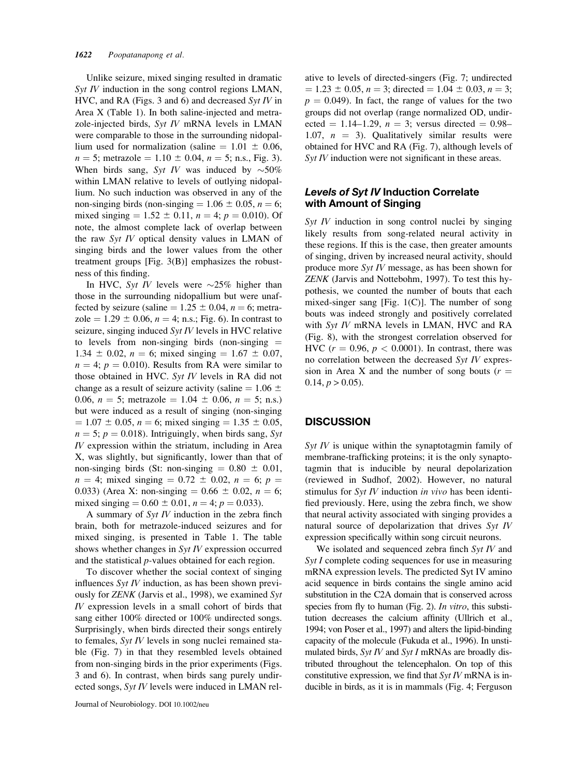Unlike seizure, mixed singing resulted in dramatic Syt IV induction in the song control regions LMAN, HVC, and RA (Figs. 3 and 6) and decreased  $Syt$  *IV* in Area X (Table 1). In both saline-injected and metrazole-injected birds,  $Syt$  *IV* mRNA levels in LMAN were comparable to those in the surrounding nidopallium used for normalization (saline  $= 1.01 \pm 0.06$ ,  $n = 5$ ; metrazole = 1.10  $\pm$  0.04,  $n = 5$ ; n.s., Fig. 3). When birds sang, Syt IV was induced by  $\sim 50\%$ within LMAN relative to levels of outlying nidopallium. No such induction was observed in any of the non-singing birds (non-singing  $= 1.06 \pm 0.05$ ,  $n = 6$ ; mixed singing  $= 1.52 \pm 0.11$ ,  $n = 4$ ;  $p = 0.010$ ). Of note, the almost complete lack of overlap between the raw  $Syt$  IV optical density values in LMAN of singing birds and the lower values from the other treatment groups [Fig. 3(B)] emphasizes the robustness of this finding.

In HVC, Syt IV levels were  $\sim$ 25% higher than those in the surrounding nidopallium but were unaffected by seizure (saline  $= 1.25 \pm 0.04$ ,  $n = 6$ ; metrazole =  $1.29 \pm 0.06$ ,  $n = 4$ ; n.s.; Fig. 6). In contrast to seizure, singing induced Syt IV levels in HVC relative to levels from non-singing birds (non-singing  $=$ 1.34  $\pm$  0.02, n = 6; mixed singing = 1.67  $\pm$  0.07,  $n = 4$ ;  $p = 0.010$ . Results from RA were similar to those obtained in HVC. Syt IV levels in RA did not change as a result of seizure activity (saline  $= 1.06 \pm 1.06$ 0.06,  $n = 5$ ; metrazole = 1.04  $\pm$  0.06,  $n = 5$ ; n.s.) but were induced as a result of singing (non-singing  $= 1.07 \pm 0.05$ ,  $n = 6$ ; mixed singing  $= 1.35 \pm 0.05$ ,  $n = 5$ ;  $p = 0.018$ ). Intriguingly, when birds sang, Syt  $IV$  expression within the striatum, including in Area X, was slightly, but significantly, lower than that of non-singing birds (St: non-singing  $= 0.80 \pm 0.01$ ,  $n = 4$ ; mixed singing  $= 0.72 \pm 0.02$ ,  $n = 6$ ;  $p =$ 0.033) (Area X: non-singing =  $0.66 \pm 0.02$ ,  $n = 6$ ; mixed singing  $= 0.60 \pm 0.01$ ,  $n = 4$ ;  $p = 0.033$ ).

A summary of Syt IV induction in the zebra finch brain, both for metrazole-induced seizures and for mixed singing, is presented in Table 1. The table shows whether changes in Syt IV expression occurred and the statistical p-values obtained for each region.

To discover whether the social context of singing influences  $Syt IV$  induction, as has been shown previously for ZENK (Jarvis et al., 1998), we examined Syt  $IV$  expression levels in a small cohort of birds that sang either 100% directed or 100% undirected songs. Surprisingly, when birds directed their songs entirely to females, Syt IV levels in song nuclei remained stable (Fig. 7) in that they resembled levels obtained from non-singing birds in the prior experiments (Figs. 3 and 6). In contrast, when birds sang purely undirected songs, Syt IV levels were induced in LMAN relative to levels of directed-singers (Fig. 7; undirected  $= 1.23 \pm 0.05$ ,  $n = 3$ ; directed  $= 1.04 \pm 0.03$ ,  $n = 3$ ;  $p = 0.049$ ). In fact, the range of values for the two groups did not overlap (range normalized OD, undirected = 1.14–1.29,  $n = 3$ ; versus directed = 0.98– 1.07,  $n = 3$ ). Qualitatively similar results were obtained for HVC and RA (Fig. 7), although levels of  $Syt IV$  induction were not significant in these areas.

## Levels of Syt IV Induction Correlate with Amount of Singing

Syt IV induction in song control nuclei by singing likely results from song-related neural activity in these regions. If this is the case, then greater amounts of singing, driven by increased neural activity, should produce more Syt IV message, as has been shown for ZENK (Jarvis and Nottebohm, 1997). To test this hypothesis, we counted the number of bouts that each mixed-singer sang [Fig.  $1(C)$ ]. The number of song bouts was indeed strongly and positively correlated with Syt IV mRNA levels in LMAN, HVC and RA (Fig. 8), with the strongest correlation observed for HVC ( $r = 0.96$ ,  $p < 0.0001$ ). In contrast, there was no correlation between the decreased  $Syt$  *IV* expression in Area X and the number of song bouts ( $r =$  $0.14, p > 0.05$ .

### **DISCUSSION**

Syt IV is unique within the synaptotagmin family of membrane-trafficking proteins; it is the only synaptotagmin that is inducible by neural depolarization (reviewed in Sudhof, 2002). However, no natural stimulus for  $Syt IV$  induction in vivo has been identified previously. Here, using the zebra finch, we show that neural activity associated with singing provides a natural source of depolarization that drives  $Syt$  IV expression specifically within song circuit neurons.

We isolated and sequenced zebra finch  $Syt$  IV and Syt I complete coding sequences for use in measuring mRNA expression levels. The predicted Syt IV amino acid sequence in birds contains the single amino acid substitution in the C2A domain that is conserved across species from fly to human (Fig. 2). In vitro, this substitution decreases the calcium affinity (Ullrich et al., 1994; von Poser et al., 1997) and alters the lipid-binding capacity of the molecule (Fukuda et al., 1996). In unstimulated birds,  $Syt IV$  and  $Syt I$  mRNAs are broadly distributed throughout the telencephalon. On top of this constitutive expression, we find that  $Syt IV$  mRNA is inducible in birds, as it is in mammals (Fig. 4; Ferguson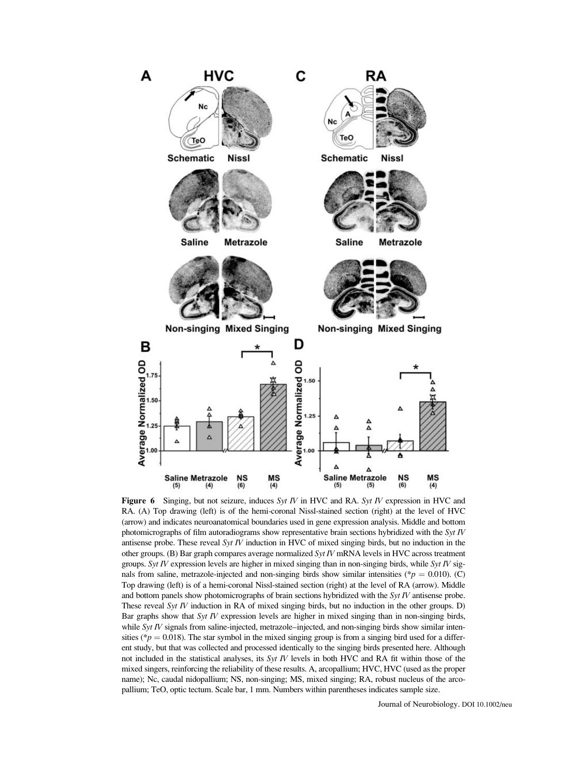

Figure 6 Singing, but not seizure, induces Syt IV in HVC and RA. Syt IV expression in HVC and RA. (A) Top drawing (left) is of the hemi-coronal Nissl-stained section (right) at the level of HVC (arrow) and indicates neuroanatomical boundaries used in gene expression analysis. Middle and bottom photomicrographs of film autoradiograms show representative brain sections hybridized with the Syt IV antisense probe. These reveal  $Syt$  IV induction in HVC of mixed singing birds, but no induction in the other groups. (B) Bar graph compares average normalized Syt IV mRNA levels in HVC across treatment groups. Syt IV expression levels are higher in mixed singing than in non-singing birds, while Syt IV signals from saline, metrazole-injected and non-singing birds show similar intensities (\* $p = 0.010$ ). (C) Top drawing (left) is of a hemi-coronal Nissl-stained section (right) at the level of RA (arrow). Middle and bottom panels show photomicrographs of brain sections hybridized with the  $Syt IV$  antisense probe. These reveal Syt IV induction in RA of mixed singing birds, but no induction in the other groups. D) Bar graphs show that Syt IV expression levels are higher in mixed singing than in non-singing birds, while Syt IV signals from saline-injected, metrazole–injected, and non-singing birds show similar intensities (\* $p = 0.018$ ). The star symbol in the mixed singing group is from a singing bird used for a different study, but that was collected and processed identically to the singing birds presented here. Although not included in the statistical analyses, its Syt IV levels in both HVC and RA fit within those of the mixed singers, reinforcing the reliability of these results. A, arcopallium; HVC, HVC (used as the proper name); Nc, caudal nidopallium; NS, non-singing; MS, mixed singing; RA, robust nucleus of the arcopallium; TeO, optic tectum. Scale bar, 1 mm. Numbers within parentheses indicates sample size.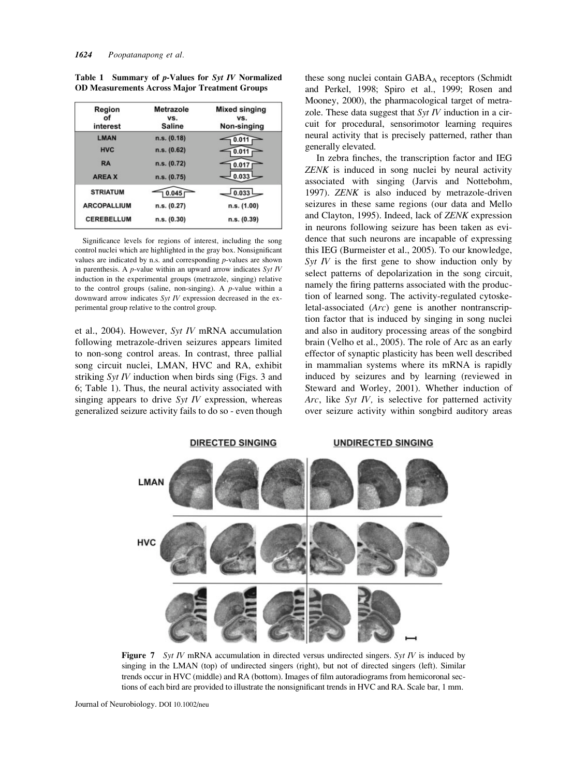| Region<br>οf<br>interest | Metrazole<br>VS.<br><b>Saline</b> | Mixed singing<br>VS.<br>Non-singing |
|--------------------------|-----------------------------------|-------------------------------------|
| <b>LMAN</b>              | n.s. (0.18)                       | 0.011                               |
| <b>HVC</b>               | n.s. (0.62)                       | 0.011                               |
| <b>RA</b>                | n.s. (0.72)                       | 0.017                               |
| <b>AREAX</b>             | n.s. (0.75)                       | 0.033                               |
| <b>STRIATUM</b>          | 0.045                             | 0.033                               |
| <b>ARCOPALLIUM</b>       | n.s. (0.27)                       | n.s. (1.00)                         |
| <b>CEREBELLUM</b>        | n.s. (0.30)                       | n.s. (0.39)                         |

Table 1 Summary of p-Values for Syt IV Normalized OD Measurements Across Major Treatment Groups

Significance levels for regions of interest, including the song control nuclei which are highlighted in the gray box. Nonsignificant values are indicated by n.s. and corresponding  $p$ -values are shown in parenthesis. A  $p$ -value within an upward arrow indicates Syt IV induction in the experimental groups (metrazole, singing) relative to the control groups (saline, non-singing). A  $p$ -value within a downward arrow indicates Syt IV expression decreased in the experimental group relative to the control group.

et al., 2004). However, Syt IV mRNA accumulation following metrazole-driven seizures appears limited to non-song control areas. In contrast, three pallial song circuit nuclei, LMAN, HVC and RA, exhibit striking Syt IV induction when birds sing (Figs. 3 and 6; Table 1). Thus, the neural activity associated with singing appears to drive  $Syt$  *IV* expression, whereas generalized seizure activity fails to do so - even though these song nuclei contain GABA<sub>A</sub> receptors (Schmidt and Perkel, 1998; Spiro et al., 1999; Rosen and Mooney, 2000), the pharmacological target of metrazole. These data suggest that  $Syt$  *IV* induction in a circuit for procedural, sensorimotor learning requires neural activity that is precisely patterned, rather than generally elevated.

In zebra finches, the transcription factor and IEG ZENK is induced in song nuclei by neural activity associated with singing (Jarvis and Nottebohm, 1997). ZENK is also induced by metrazole-driven seizures in these same regions (our data and Mello and Clayton, 1995). Indeed, lack of ZENK expression in neurons following seizure has been taken as evidence that such neurons are incapable of expressing this IEG (Burmeister et al., 2005). To our knowledge, Syt IV is the first gene to show induction only by select patterns of depolarization in the song circuit, namely the firing patterns associated with the production of learned song. The activity-regulated cytoskeletal-associated (Arc) gene is another nontranscription factor that is induced by singing in song nuclei and also in auditory processing areas of the songbird brain (Velho et al., 2005). The role of Arc as an early effector of synaptic plasticity has been well described in mammalian systems where its mRNA is rapidly induced by seizures and by learning (reviewed in Steward and Worley, 2001). Whether induction of Arc, like  $Syt$  IV, is selective for patterned activity over seizure activity within songbird auditory areas



Figure 7 Syt IV mRNA accumulation in directed versus undirected singers. Syt IV is induced by singing in the LMAN (top) of undirected singers (right), but not of directed singers (left). Similar trends occur in HVC (middle) and RA (bottom). Images of film autoradiograms from hemicoronal sections of each bird are provided to illustrate the nonsignificant trends in HVC and RA. Scale bar, 1 mm.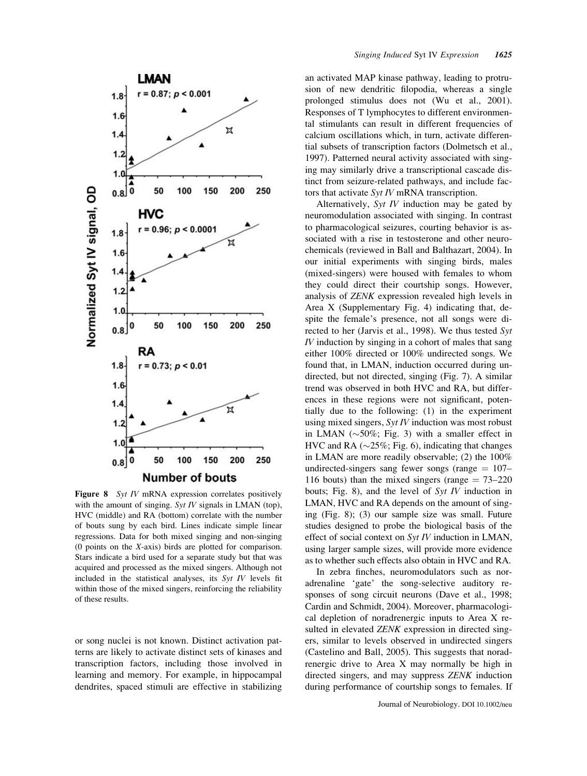

Figure 8 Syt IV mRNA expression correlates positively with the amount of singing. Syt IV signals in LMAN (top), HVC (middle) and RA (bottom) correlate with the number of bouts sung by each bird. Lines indicate simple linear regressions. Data for both mixed singing and non-singing (0 points on the X-axis) birds are plotted for comparison. Stars indicate a bird used for a separate study but that was acquired and processed as the mixed singers. Although not included in the statistical analyses, its  $Syt$  *IV* levels fit within those of the mixed singers, reinforcing the reliability of these results.

or song nuclei is not known. Distinct activation patterns are likely to activate distinct sets of kinases and transcription factors, including those involved in learning and memory. For example, in hippocampal dendrites, spaced stimuli are effective in stabilizing

an activated MAP kinase pathway, leading to protrusion of new dendritic filopodia, whereas a single prolonged stimulus does not (Wu et al., 2001). Responses of T lymphocytes to different environmental stimulants can result in different frequencies of calcium oscillations which, in turn, activate differential subsets of transcription factors (Dolmetsch et al., 1997). Patterned neural activity associated with singing may similarly drive a transcriptional cascade distinct from seizure-related pathways, and include factors that activate Syt IV mRNA transcription.

Alternatively,  $Syt$  *IV* induction may be gated by neuromodulation associated with singing. In contrast to pharmacological seizures, courting behavior is associated with a rise in testosterone and other neurochemicals (reviewed in Ball and Balthazart, 2004). In our initial experiments with singing birds, males (mixed-singers) were housed with females to whom they could direct their courtship songs. However, analysis of ZENK expression revealed high levels in Area X (Supplementary Fig. 4) indicating that, despite the female's presence, not all songs were directed to her (Jarvis et al., 1998). We thus tested  $Syt$  $IV$  induction by singing in a cohort of males that sang either 100% directed or 100% undirected songs. We found that, in LMAN, induction occurred during undirected, but not directed, singing (Fig. 7). A similar trend was observed in both HVC and RA, but differences in these regions were not significant, potentially due to the following: (1) in the experiment using mixed singers,  $Syt$  *IV* induction was most robust in LMAN ( $\sim$ 50%; Fig. 3) with a smaller effect in HVC and RA ( $\sim$ 25%; Fig. 6), indicating that changes in LMAN are more readily observable; (2) the 100% undirected-singers sang fewer songs (range  $= 107 -$ 116 bouts) than the mixed singers (range  $= 73-220$ bouts; Fig. 8), and the level of  $Svt$  *IV* induction in LMAN, HVC and RA depends on the amount of singing (Fig. 8); (3) our sample size was small. Future studies designed to probe the biological basis of the effect of social context on  $Syt IV$  induction in LMAN, using larger sample sizes, will provide more evidence as to whether such effects also obtain in HVC and RA.

In zebra finches, neuromodulators such as noradrenaline 'gate' the song-selective auditory responses of song circuit neurons (Dave et al., 1998; Cardin and Schmidt, 2004). Moreover, pharmacological depletion of noradrenergic inputs to Area X resulted in elevated ZENK expression in directed singers, similar to levels observed in undirected singers (Castelino and Ball, 2005). This suggests that noradrenergic drive to Area X may normally be high in directed singers, and may suppress ZENK induction during performance of courtship songs to females. If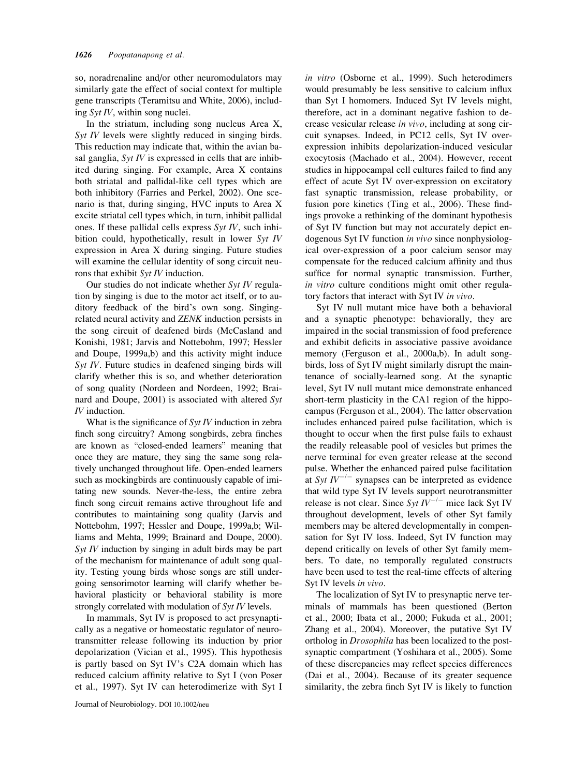so, noradrenaline and/or other neuromodulators may similarly gate the effect of social context for multiple gene transcripts (Teramitsu and White, 2006), including Syt IV, within song nuclei.

In the striatum, including song nucleus Area X, Syt IV levels were slightly reduced in singing birds. This reduction may indicate that, within the avian basal ganglia, Syt  $IV$  is expressed in cells that are inhibited during singing. For example, Area X contains both striatal and pallidal-like cell types which are both inhibitory (Farries and Perkel, 2002). One scenario is that, during singing, HVC inputs to Area X excite striatal cell types which, in turn, inhibit pallidal ones. If these pallidal cells express  $Syt IV$ , such inhibition could, hypothetically, result in lower Syt IV expression in Area X during singing. Future studies will examine the cellular identity of song circuit neurons that exhibit Syt IV induction.

Our studies do not indicate whether Syt IV regulation by singing is due to the motor act itself, or to auditory feedback of the bird's own song. Singingrelated neural activity and ZENK induction persists in the song circuit of deafened birds (McCasland and Konishi, 1981; Jarvis and Nottebohm, 1997; Hessler and Doupe, 1999a,b) and this activity might induce Syt IV. Future studies in deafened singing birds will clarify whether this is so, and whether deterioration of song quality (Nordeen and Nordeen, 1992; Brainard and Doupe, 2001) is associated with altered Syt IV induction.

What is the significance of  $Syt$  *IV* induction in zebra finch song circuitry? Among songbirds, zebra finches are known as "closed-ended learners" meaning that once they are mature, they sing the same song relatively unchanged throughout life. Open-ended learners such as mockingbirds are continuously capable of imitating new sounds. Never-the-less, the entire zebra finch song circuit remains active throughout life and contributes to maintaining song quality (Jarvis and Nottebohm, 1997; Hessler and Doupe, 1999a,b; Williams and Mehta, 1999; Brainard and Doupe, 2000). Syt IV induction by singing in adult birds may be part of the mechanism for maintenance of adult song quality. Testing young birds whose songs are still undergoing sensorimotor learning will clarify whether behavioral plasticity or behavioral stability is more strongly correlated with modulation of Syt IV levels.

In mammals, Syt IV is proposed to act presynaptically as a negative or homeostatic regulator of neurotransmitter release following its induction by prior depolarization (Vician et al., 1995). This hypothesis is partly based on Syt IV's C2A domain which has reduced calcium affinity relative to Syt I (von Poser et al., 1997). Syt IV can heterodimerize with Syt I

in vitro (Osborne et al., 1999). Such heterodimers would presumably be less sensitive to calcium influx than Syt I homomers. Induced Syt IV levels might, therefore, act in a dominant negative fashion to decrease vesicular release in vivo, including at song circuit synapses. Indeed, in PC12 cells, Syt IV overexpression inhibits depolarization-induced vesicular exocytosis (Machado et al., 2004). However, recent studies in hippocampal cell cultures failed to find any effect of acute Syt IV over-expression on excitatory fast synaptic transmission, release probability, or fusion pore kinetics (Ting et al., 2006). These findings provoke a rethinking of the dominant hypothesis of Syt IV function but may not accurately depict endogenous Syt IV function in vivo since nonphysiological over-expression of a poor calcium sensor may compensate for the reduced calcium affinity and thus suffice for normal synaptic transmission. Further, in vitro culture conditions might omit other regulatory factors that interact with Syt IV in vivo.

Syt IV null mutant mice have both a behavioral and a synaptic phenotype: behaviorally, they are impaired in the social transmission of food preference and exhibit deficits in associative passive avoidance memory (Ferguson et al., 2000a,b). In adult songbirds, loss of Syt IV might similarly disrupt the maintenance of socially-learned song. At the synaptic level, Syt IV null mutant mice demonstrate enhanced short-term plasticity in the CA1 region of the hippocampus (Ferguson et al., 2004). The latter observation includes enhanced paired pulse facilitation, which is thought to occur when the first pulse fails to exhaust the readily releasable pool of vesicles but primes the nerve terminal for even greater release at the second pulse. Whether the enhanced paired pulse facilitation at Syt  $IV^{-/-}$  synapses can be interpreted as evidence that wild type Syt IV levels support neurotransmitter release is not clear. Since Syt  $\overline{IV}^{-/-}$  mice lack Syt IV throughout development, levels of other Syt family members may be altered developmentally in compensation for Syt IV loss. Indeed, Syt IV function may depend critically on levels of other Syt family members. To date, no temporally regulated constructs have been used to test the real-time effects of altering Syt IV levels in vivo.

The localization of Syt IV to presynaptic nerve terminals of mammals has been questioned (Berton et al., 2000; Ibata et al., 2000; Fukuda et al., 2001; Zhang et al., 2004). Moreover, the putative Syt IV ortholog in Drosophila has been localized to the postsynaptic compartment (Yoshihara et al., 2005). Some of these discrepancies may reflect species differences (Dai et al., 2004). Because of its greater sequence similarity, the zebra finch Syt IV is likely to function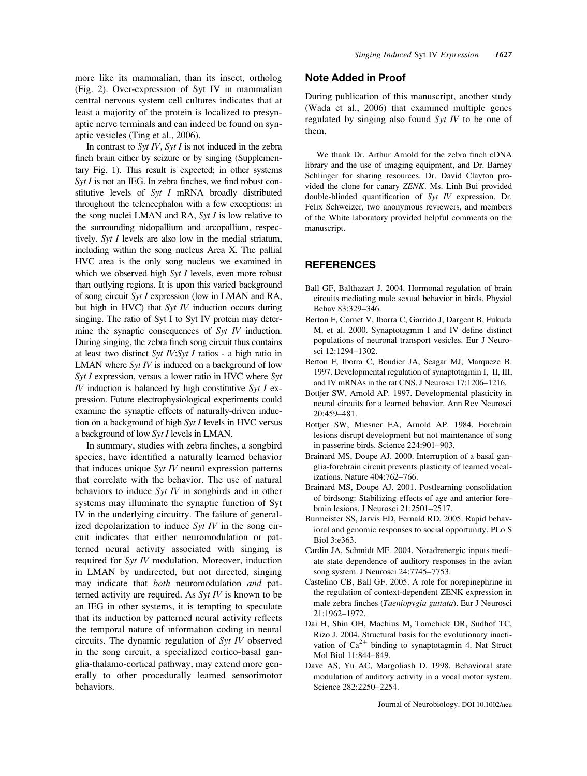more like its mammalian, than its insect, ortholog (Fig. 2). Over-expression of Syt IV in mammalian central nervous system cell cultures indicates that at least a majority of the protein is localized to presynaptic nerve terminals and can indeed be found on synaptic vesicles (Ting et al., 2006).

In contrast to Syt IV, Syt I is not induced in the zebra finch brain either by seizure or by singing (Supplementary Fig. 1). This result is expected; in other systems  $Syt I$  is not an IEG. In zebra finches, we find robust constitutive levels of Syt I mRNA broadly distributed throughout the telencephalon with a few exceptions: in the song nuclei LMAN and RA,  $Syt I$  is low relative to the surrounding nidopallium and arcopallium, respectively. Syt I levels are also low in the medial striatum, including within the song nucleus Area X. The pallial HVC area is the only song nucleus we examined in which we observed high  $Syt$  I levels, even more robust than outlying regions. It is upon this varied background of song circuit Syt I expression (low in LMAN and RA, but high in HVC) that  $Svt$  *IV* induction occurs during singing. The ratio of Syt I to Syt IV protein may determine the synaptic consequences of  $Syt$  *IV* induction. During singing, the zebra finch song circuit thus contains at least two distinct Syt IV:Syt I ratios - a high ratio in LMAN where  $Svt$  *IV* is induced on a background of low Syt I expression, versus a lower ratio in HVC where  $Syt$  $IV$  induction is balanced by high constitutive  $SytI$  expression. Future electrophysiological experiments could examine the synaptic effects of naturally-driven induction on a background of high  $Syt I$  levels in HVC versus a background of low Syt I levels in LMAN.

In summary, studies with zebra finches, a songbird species, have identified a naturally learned behavior that induces unique  $Svt$  *IV* neural expression patterns that correlate with the behavior. The use of natural behaviors to induce  $Svt$  *IV* in songbirds and in other systems may illuminate the synaptic function of Syt IV in the underlying circuitry. The failure of generalized depolarization to induce  $Syt$  *IV* in the song circuit indicates that either neuromodulation or patterned neural activity associated with singing is required for Syt IV modulation. Moreover, induction in LMAN by undirected, but not directed, singing may indicate that both neuromodulation and patterned activity are required. As  $Syt IV$  is known to be an IEG in other systems, it is tempting to speculate that its induction by patterned neural activity reflects the temporal nature of information coding in neural circuits. The dynamic regulation of Syt IV observed in the song circuit, a specialized cortico-basal ganglia-thalamo-cortical pathway, may extend more generally to other procedurally learned sensorimotor behaviors.

### Note Added in Proof

During publication of this manuscript, another study (Wada et al., 2006) that examined multiple genes regulated by singing also found  $Syt$  *IV* to be one of them.

We thank Dr. Arthur Arnold for the zebra finch cDNA library and the use of imaging equipment, and Dr. Barney Schlinger for sharing resources. Dr. David Clayton provided the clone for canary ZENK. Ms. Linh Bui provided double-blinded quantification of Syt IV expression. Dr. Felix Schweizer, two anonymous reviewers, and members of the White laboratory provided helpful comments on the manuscript.

### **REFERENCES**

- Ball GF, Balthazart J. 2004. Hormonal regulation of brain circuits mediating male sexual behavior in birds. Physiol Behav 83:329–346.
- Berton F, Cornet V, Iborra C, Garrido J, Dargent B, Fukuda M, et al. 2000. Synaptotagmin I and IV define distinct populations of neuronal transport vesicles. Eur J Neurosci 12:1294–1302.
- Berton F, Iborra C, Boudier JA, Seagar MJ, Marqueze B. 1997. Developmental regulation of synaptotagmin I, II, III, and IV mRNAs in the rat CNS. J Neurosci 17:1206–1216.
- Bottjer SW, Arnold AP. 1997. Developmental plasticity in neural circuits for a learned behavior. Ann Rev Neurosci 20:459–481.
- Bottjer SW, Miesner EA, Arnold AP. 1984. Forebrain lesions disrupt development but not maintenance of song in passerine birds. Science 224:901–903.
- Brainard MS, Doupe AJ. 2000. Interruption of a basal ganglia-forebrain circuit prevents plasticity of learned vocalizations. Nature 404:762–766.
- Brainard MS, Doupe AJ. 2001. Postlearning consolidation of birdsong: Stabilizing effects of age and anterior forebrain lesions. J Neurosci 21:2501–2517.
- Burmeister SS, Jarvis ED, Fernald RD. 2005. Rapid behavioral and genomic responses to social opportunity. PLo S Biol 3:e363.
- Cardin JA, Schmidt MF. 2004. Noradrenergic inputs mediate state dependence of auditory responses in the avian song system. J Neurosci 24:7745–7753.
- Castelino CB, Ball GF. 2005. A role for norepinephrine in the regulation of context-dependent ZENK expression in male zebra finches (Taeniopygia guttata). Eur J Neurosci 21:1962–1972.
- Dai H, Shin OH, Machius M, Tomchick DR, Sudhof TC, Rizo J. 2004. Structural basis for the evolutionary inactivation of  $Ca^{2+}$  binding to synaptotagmin 4. Nat Struct Mol Biol 11:844–849.
- Dave AS, Yu AC, Margoliash D. 1998. Behavioral state modulation of auditory activity in a vocal motor system. Science 282:2250–2254.

Journal of Neurobiology. DOI 10.1002/neu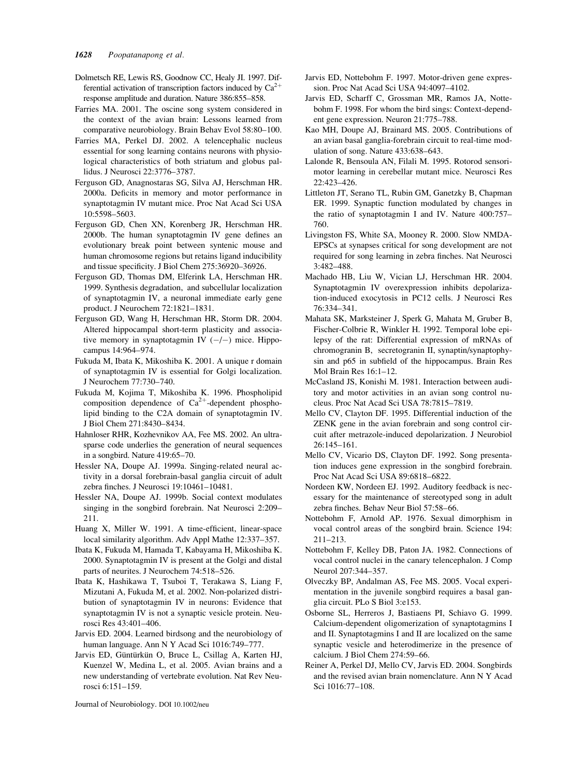- Dolmetsch RE, Lewis RS, Goodnow CC, Healy JI. 1997. Differential activation of transcription factors induced by  $Ca^{2+}$ response amplitude and duration. Nature 386:855–858.
- Farries MA. 2001. The oscine song system considered in the context of the avian brain: Lessons learned from comparative neurobiology. Brain Behav Evol 58:80–100.
- Farries MA, Perkel DJ. 2002. A telencephalic nucleus essential for song learning contains neurons with physiological characteristics of both striatum and globus pallidus. J Neurosci 22:3776–3787.
- Ferguson GD, Anagnostaras SG, Silva AJ, Herschman HR. 2000a. Deficits in memory and motor performance in synaptotagmin IV mutant mice. Proc Nat Acad Sci USA 10:5598–5603.
- Ferguson GD, Chen XN, Korenberg JR, Herschman HR. 2000b. The human synaptotagmin IV gene defines an evolutionary break point between syntenic mouse and human chromosome regions but retains ligand inducibility and tissue specificity. J Biol Chem 275:36920–36926.
- Ferguson GD, Thomas DM, Elferink LA, Herschman HR. 1999. Synthesis degradation, and subcellular localization of synaptotagmin IV, a neuronal immediate early gene product. J Neurochem 72:1821–1831.
- Ferguson GD, Wang H, Herschman HR, Storm DR. 2004. Altered hippocampal short-term plasticity and associative memory in synaptotagmin IV  $(-/-)$  mice. Hippocampus 14:964–974.
- Fukuda M, Ibata K, Mikoshiba K. 2001. A unique r domain of synaptotagmin IV is essential for Golgi localization. J Neurochem 77:730–740.
- Fukuda M, Kojima T, Mikoshiba K. 1996. Phospholipid composition dependence of  $Ca^{2+}$ -dependent phospholipid binding to the C2A domain of synaptotagmin IV. J Biol Chem 271:8430–8434.
- Hahnloser RHR, Kozhevnikov AA, Fee MS. 2002. An ultrasparse code underlies the generation of neural sequences in a songbird. Nature 419:65–70.
- Hessler NA, Doupe AJ. 1999a. Singing-related neural activity in a dorsal forebrain-basal ganglia circuit of adult zebra finches. J Neurosci 19:10461–10481.
- Hessler NA, Doupe AJ. 1999b. Social context modulates singing in the songbird forebrain. Nat Neurosci 2:209– 211.
- Huang X, Miller W. 1991. A time-efficient, linear-space local similarity algorithm. Adv Appl Mathe 12:337–357.
- Ibata K, Fukuda M, Hamada T, Kabayama H, Mikoshiba K. 2000. Synaptotagmin IV is present at the Golgi and distal parts of neurites. J Neurochem 74:518–526.
- Ibata K, Hashikawa T, Tsuboi T, Terakawa S, Liang F, Mizutani A, Fukuda M, et al. 2002. Non-polarized distribution of synaptotagmin IV in neurons: Evidence that synaptotagmin IV is not a synaptic vesicle protein. Neurosci Res 43:401–406.
- Jarvis ED. 2004. Learned birdsong and the neurobiology of human language. Ann N Y Acad Sci 1016:749–777.
- Jarvis ED, Güntürkün O, Bruce L, Csillag A, Karten HJ, Kuenzel W, Medina L, et al. 2005. Avian brains and a new understanding of vertebrate evolution. Nat Rev Neurosci 6:151–159.

Journal of Neurobiology. DOI 10.1002/neu

- Jarvis ED, Nottebohm F. 1997. Motor-driven gene expression. Proc Nat Acad Sci USA 94:4097–4102.
- Jarvis ED, Scharff C, Grossman MR, Ramos JA, Nottebohm F. 1998. For whom the bird sings: Context-dependent gene expression. Neuron 21:775–788.
- Kao MH, Doupe AJ, Brainard MS. 2005. Contributions of an avian basal ganglia-forebrain circuit to real-time modulation of song. Nature 433:638–643.
- Lalonde R, Bensoula AN, Filali M. 1995. Rotorod sensorimotor learning in cerebellar mutant mice. Neurosci Res 22:423–426.
- Littleton JT, Serano TL, Rubin GM, Ganetzky B, Chapman ER. 1999. Synaptic function modulated by changes in the ratio of synaptotagmin I and IV. Nature 400:757– 760.
- Livingston FS, White SA, Mooney R. 2000. Slow NMDA-EPSCs at synapses critical for song development are not required for song learning in zebra finches. Nat Neurosci 3:482–488.
- Machado HB, Liu W, Vician LJ, Herschman HR. 2004. Synaptotagmin IV overexpression inhibits depolarization-induced exocytosis in PC12 cells. J Neurosci Res 76:334–341.
- Mahata SK, Marksteiner J, Sperk G, Mahata M, Gruber B, Fischer-Colbrie R, Winkler H. 1992. Temporal lobe epilepsy of the rat: Differential expression of mRNAs of chromogranin B, secretogranin II, synaptin/synaptophysin and p65 in subfield of the hippocampus. Brain Res Mol Brain Res 16:1–12.
- McCasland JS, Konishi M. 1981. Interaction between auditory and motor activities in an avian song control nucleus. Proc Nat Acad Sci USA 78:7815–7819.
- Mello CV, Clayton DF. 1995. Differential induction of the ZENK gene in the avian forebrain and song control circuit after metrazole-induced depolarization. J Neurobiol 26:145–161.
- Mello CV, Vicario DS, Clayton DF. 1992. Song presentation induces gene expression in the songbird forebrain. Proc Nat Acad Sci USA 89:6818–6822.
- Nordeen KW, Nordeen EJ. 1992. Auditory feedback is necessary for the maintenance of stereotyped song in adult zebra finches. Behav Neur Biol 57:58–66.
- Nottebohm F, Arnold AP. 1976. Sexual dimorphism in vocal control areas of the songbird brain. Science 194: 211–213.
- Nottebohm F, Kelley DB, Paton JA. 1982. Connections of vocal control nuclei in the canary telencephalon. J Comp Neurol 207:344–357.
- Olveczky BP, Andalman AS, Fee MS. 2005. Vocal experimentation in the juvenile songbird requires a basal ganglia circuit. PLo S Biol 3:e153.
- Osborne SL, Herreros J, Bastiaens PI, Schiavo G. 1999. Calcium-dependent oligomerization of synaptotagmins I and II. Synaptotagmins I and II are localized on the same synaptic vesicle and heterodimerize in the presence of calcium. J Biol Chem 274:59–66.
- Reiner A, Perkel DJ, Mello CV, Jarvis ED. 2004. Songbirds and the revised avian brain nomenclature. Ann N Y Acad Sci 1016:77–108.